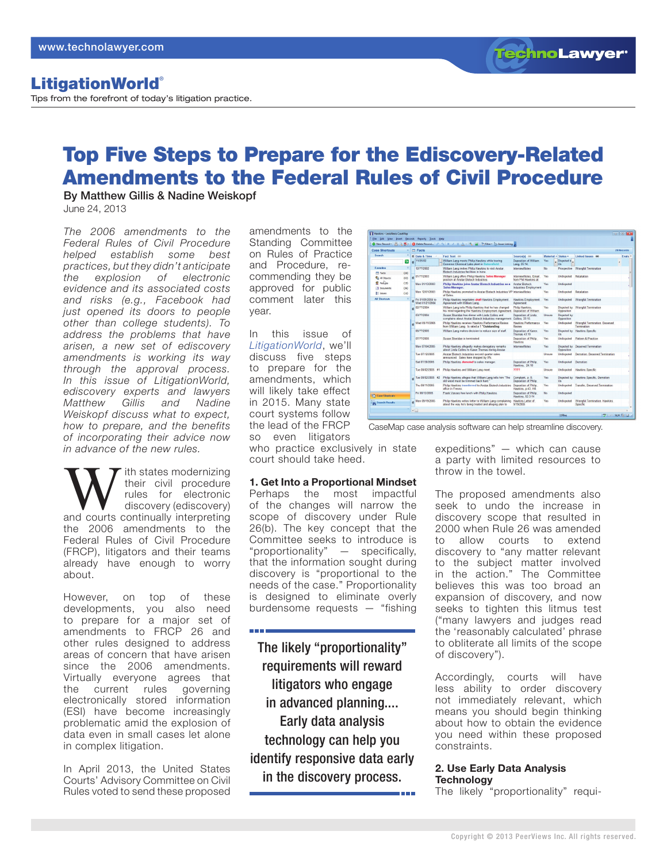### LitigationWorld®

Tips from the forefront of today's litigation practice.

## Top Five Steps to Prepare for the Ediscovery-Related Amendments to the Federal Rules of Civil Procedure

By Matthew Gillis & Nadine Weiskopf June 24, 2013

*The 2006 amendments to the Federal Rules of Civil Procedure helped establish some best practices, but they didn't anticipate the explosion of electronic evidence and its associated costs and risks (e.g., Facebook had just opened its doors to people other than college students). To address the problems that have arisen, a new set of ediscovery amendments is working its way through the approval process. In this issue of LitigationWorld, ediscovery experts and lawyers Matthew Gillis and Nadine Weiskopf discuss what to expect, how to prepare, and the benefits of incorporating their advice now in advance of the new rules.*

With states modernizing<br>
their civil procedure<br>
rules for electronic<br>
discovery (ediscovery)<br>
and courts continually interpreting their civil procedure rules for electronic discovery (ediscovery) the 2006 amendments to the Federal Rules of Civil Procedure (FRCP), litigators and their teams already have enough to worry about.

However, on top of these developments, you also need to prepare for a major set of amendments to FRCP 26 and other rules designed to address areas of concern that have arisen since the 2006 amendments. Virtually everyone agrees that the current rules governing electronically stored information (ESI) have become increasingly problematic amid the explosion of data even in small cases let alone in complex litigation.

In April 2013, the United States Courts' Advisory Committee on Civil Rules voted to send these proposed Standing Committee and Procedure, recommending they be approved for public comment later this year.

In this issue of *[LitigationWorld](http://www.technolawyer.com/litigationworld.asp)*, we'll discuss five steps to prepare for the amendments, which will likely take effect in 2015. Many state court systems follow the lead of the FRCP so even litigators

**THE REAL** 

who practice exclusively in state court should take heed.

#### **1. Get Into a Proportional Mindset**

Perhaps the most impactful of the changes will narrow the scope of discovery under Rule 26(b). The key concept that the Committee seeks to introduce is "proportionality" — specifically, that the information sought during discovery is "proportional to the needs of the case." Proportionality is designed to eliminate overly burdensome requests — "fishing

The likely "proportionality" requirements will reward litigators who engage in advanced planning.... Early data analysis technology can help you identify responsive data early in the discovery process.

expeditions" — which can cause a party with limited resources to throw in the towel.

The proposed amendments also seek to undo the increase in discovery scope that resulted in 2000 when Rule 26 was amended to allow courts to extend discovery to "any matter relevant to the subject matter involved in the action." The Committee believes this was too broad an expansion of discovery, and now seeks to tighten this litmus test ("many lawyers and judges read the 'reasonably calculated' phrase to obliterate all limits of the scope of discovery").

Accordingly, courts will have less ability to order discovery not immediately relevant, which means you should begin thinking about how to obtain the evidence you need within these proposed constraints.

#### **2. Use Early Data Analysis Technology**

The likely "proportionality" requi-



# amendments to the on Rules of Practice

Mon 01/13/2003

**Bat 07/20/200** 

Thu 08/11/200

 $\frac{a}{2}$  at object<br> $\frac{a}{2}$  Pertains

**TechnoLawyer**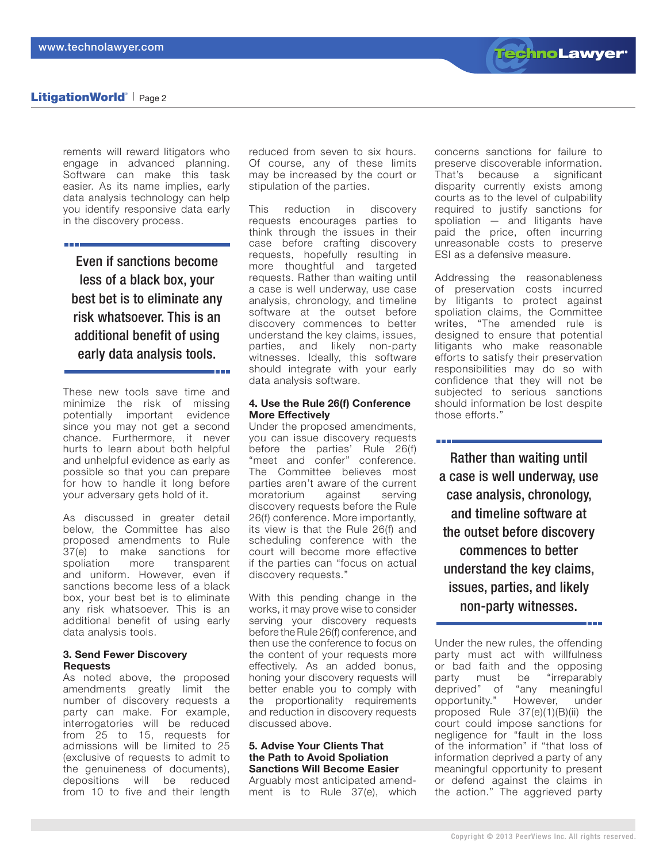

#### LitigationWorld<sup>®</sup> | Page 2

rements will reward litigators who engage in advanced planning. Software can make this task easier. As its name implies, early data analysis technology can help you identify responsive data early in the discovery process.

Even if sanctions become less of a black box, your best bet is to eliminate any risk whatsoever. This is an additional benefit of using early data analysis tools.

These new tools save time and minimize the risk of missing potentially important evidence since you may not get a second chance. Furthermore, it never hurts to learn about both helpful and unhelpful evidence as early as possible so that you can prepare for how to handle it long before your adversary gets hold of it.

As discussed in greater detail below, the Committee has also proposed amendments to Rule 37(e) to make sanctions for spoliation more transparent and uniform. However, even if sanctions become less of a black box, your best bet is to eliminate any risk whatsoever. This is an additional benefit of using early data analysis tools.

#### **3. Send Fewer Discovery Requests**

As noted above, the proposed amendments greatly limit the number of discovery requests a party can make. For example, interrogatories will be reduced from 25 to 15, requests for admissions will be limited to 25 (exclusive of requests to admit to the genuineness of documents), depositions will be reduced from 10 to five and their length reduced from seven to six hours. Of course, any of these limits may be increased by the court or stipulation of the parties.

This reduction in discovery requests encourages parties to think through the issues in their case before crafting discovery requests, hopefully resulting in more thoughtful and targeted requests. Rather than waiting until a case is well underway, use case analysis, chronology, and timeline software at the outset before discovery commences to better understand the key claims, issues, parties, and likely non-party witnesses. Ideally, this software should integrate with your early data analysis software.

#### **4. Use the Rule 26(f) Conference More Effectively**

Under the proposed amendments, you can issue discovery requests before the parties' Rule 26(f) "meet and confer" conference. The Committee believes most parties aren't aware of the current moratorium against serving discovery requests before the Rule 26(f) conference. More importantly, its view is that the Rule 26(f) and scheduling conference with the court will become more effective if the parties can "focus on actual discovery requests."

With this pending change in the works, it may prove wise to consider serving your discovery requests before the Rule 26(f) conference, and then use the conference to focus on the content of your requests more effectively. As an added bonus, honing your discovery requests will better enable you to comply with the proportionality requirements and reduction in discovery requests discussed above.

#### **5. Advise Your Clients That the Path to Avoid Spoliation Sanctions Will Become Easier**

Arguably most anticipated amendment is to Rule 37(e), which

concerns sanctions for failure to preserve discoverable information. That's because a significant disparity currently exists among courts as to the level of culpability required to justify sanctions for spoliation — and litigants have paid the price, often incurring unreasonable costs to preserve ESI as a defensive measure.

Addressing the reasonableness of preservation costs incurred by litigants to protect against spoliation claims, the Committee writes, "The amended rule is designed to ensure that potential litigants who make reasonable efforts to satisfy their preservation responsibilities may do so with confidence that they will not be subjected to serious sanctions should information be lost despite those efforts."

**The College** 

Rather than waiting until a case is well underway, use case analysis, chronology, and timeline software at the outset before discovery commences to better understand the key claims, issues, parties, and likely non-party witnesses.

Under the new rules, the offending party must act with willfulness or bad faith and the opposing party must be "irreparably deprived" of "any meaningful opportunity." However, under proposed Rule 37(e)(1)(B)(ii) the court could impose sanctions for negligence for "fault in the loss of the information" if "that loss of information deprived a party of any meaningful opportunity to present or defend against the claims in the action." The aggrieved party